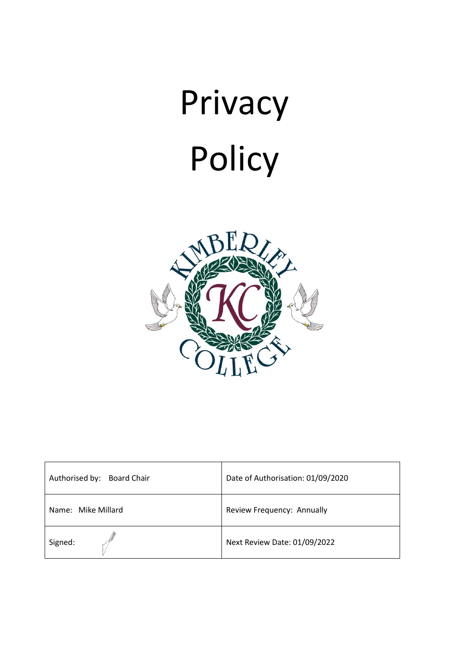

| Authorised by:<br><b>Board Chair</b> | Date of Authorisation: 01/09/2020 |
|--------------------------------------|-----------------------------------|
| Name: Mike Millard                   | Review Frequency: Annually        |
| Signed:                              | Next Review Date: 01/09/2022      |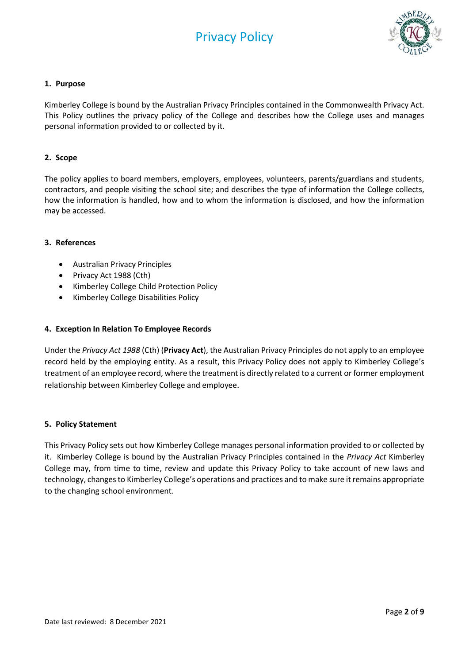

# **1. Purpose**

Kimberley College is bound by the Australian Privacy Principles contained in the Commonwealth Privacy Act. This Policy outlines the privacy policy of the College and describes how the College uses and manages personal information provided to or collected by it.

# **2. Scope**

The policy applies to board members, employers, employees, volunteers, parents/guardians and students, contractors, and people visiting the school site; and describes the type of information the College collects, how the information is handled, how and to whom the information is disclosed, and how the information may be accessed.

## **3. References**

- Australian Privacy Principles
- Privacy Act 1988 (Cth)
- Kimberley College Child Protection Policy
- Kimberley College Disabilities Policy

## **4. Exception In Relation To Employee Records**

Under the *Privacy Act 1988* (Cth) (**Privacy Act**), the Australian Privacy Principles do not apply to an employee record held by the employing entity. As a result, this Privacy Policy does not apply to Kimberley College's treatment of an employee record, where the treatment is directly related to a current or former employment relationship between Kimberley College and employee.

## **5. Policy Statement**

This Privacy Policy sets out how Kimberley College manages personal information provided to or collected by it. Kimberley College is bound by the Australian Privacy Principles contained in the *Privacy Act* Kimberley College may, from time to time, review and update this Privacy Policy to take account of new laws and technology, changes to Kimberley College's operations and practices and to make sure it remains appropriate to the changing school environment.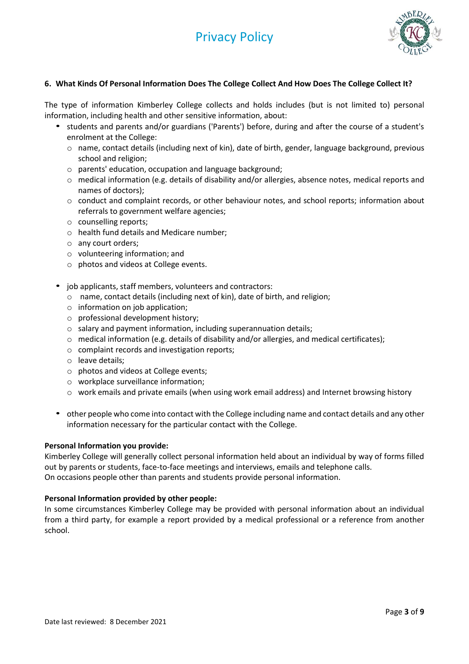

# **6. What Kinds Of Personal Information Does The College Collect And How Does The College Collect It?**

The type of information Kimberley College collects and holds includes (but is not limited to) personal information, including health and other sensitive information, about:

- students and parents and/or guardians ('Parents') before, during and after the course of a student's enrolment at the College:
	- o name, contact details (including next of kin), date of birth, gender, language background, previous school and religion;
	- o parents' education, occupation and language background;
	- o medical information (e.g. details of disability and/or allergies, absence notes, medical reports and names of doctors);
	- o conduct and complaint records, or other behaviour notes, and school reports; information about referrals to government welfare agencies;
	- o counselling reports;
	- o health fund details and Medicare number;
	- o any court orders;
	- o volunteering information; and
	- o photos and videos at College events.
- job applicants, staff members, volunteers and contractors:
	- o name, contact details (including next of kin), date of birth, and religion;
	- o information on job application;
	- o professional development history;
	- o salary and payment information, including superannuation details;
	- $\circ$  medical information (e.g. details of disability and/or allergies, and medical certificates);
	- o complaint records and investigation reports;
	- o leave details;
	- o photos and videos at College events;
	- o workplace surveillance information;
	- o work emails and private emails (when using work email address) and Internet browsing history
- other people who come into contact with the College including name and contact details and any other information necessary for the particular contact with the College.

## **Personal Information you provide:**

Kimberley College will generally collect personal information held about an individual by way of forms filled out by parents or students, face-to-face meetings and interviews, emails and telephone calls. On occasions people other than parents and students provide personal information.

## **Personal Information provided by other people:**

In some circumstances Kimberley College may be provided with personal information about an individual from a third party, for example a report provided by a medical professional or a reference from another school.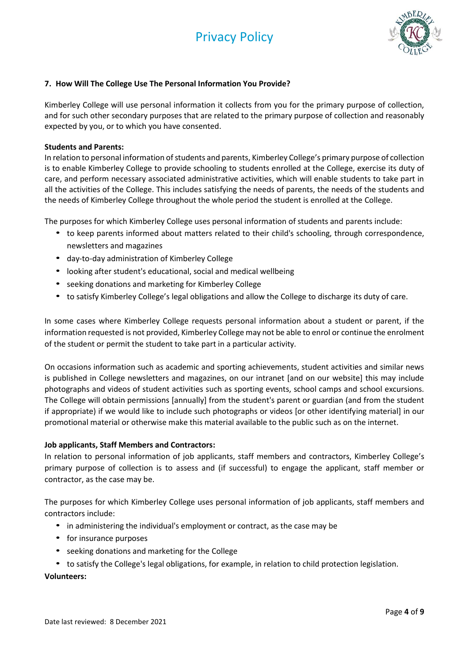

# **7. How Will The College Use The Personal Information You Provide?**

Kimberley College will use personal information it collects from you for the primary purpose of collection, and for such other secondary purposes that are related to the primary purpose of collection and reasonably expected by you, or to which you have consented.

## **Students and Parents:**

In relation to personal information of students and parents, Kimberley College's primary purpose of collection is to enable Kimberley College to provide schooling to students enrolled at the College, exercise its duty of care, and perform necessary associated administrative activities, which will enable students to take part in all the activities of the College. This includes satisfying the needs of parents, the needs of the students and the needs of Kimberley College throughout the whole period the student is enrolled at the College.

The purposes for which Kimberley College uses personal information of students and parents include:

- to keep parents informed about matters related to their child's schooling, through correspondence, newsletters and magazines
- day-to-day administration of Kimberley College
- looking after student's educational, social and medical wellbeing
- seeking donations and marketing for Kimberley College
- to satisfy Kimberley College's legal obligations and allow the College to discharge its duty of care.

In some cases where Kimberley College requests personal information about a student or parent, if the information requested is not provided, Kimberley College may not be able to enrol or continue the enrolment of the student or permit the student to take part in a particular activity.

On occasions information such as academic and sporting achievements, student activities and similar news is published in College newsletters and magazines, on our intranet [and on our website] this may include photographs and videos of student activities such as sporting events, school camps and school excursions. The College will obtain permissions [annually] from the student's parent or guardian (and from the student if appropriate) if we would like to include such photographs or videos [or other identifying material] in our promotional material or otherwise make this material available to the public such as on the internet.

#### **Job applicants, Staff Members and Contractors:**

In relation to personal information of job applicants, staff members and contractors, Kimberley College's primary purpose of collection is to assess and (if successful) to engage the applicant, staff member or contractor, as the case may be.

The purposes for which Kimberley College uses personal information of job applicants, staff members and contractors include:

- in administering the individual's employment or contract, as the case may be
- for insurance purposes
- seeking donations and marketing for the College
- to satisfy the College's legal obligations, for example, in relation to child protection legislation.

## **Volunteers:**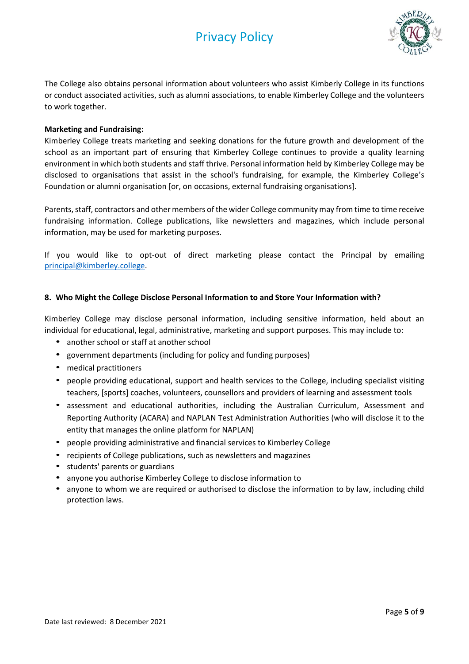

The College also obtains personal information about volunteers who assist Kimberly College in its functions or conduct associated activities, such as alumni associations, to enable Kimberley College and the volunteers to work together.

## **Marketing and Fundraising:**

Kimberley College treats marketing and seeking donations for the future growth and development of the school as an important part of ensuring that Kimberley College continues to provide a quality learning environment in which both students and staff thrive. Personal information held by Kimberley College may be disclosed to organisations that assist in the school's fundraising, for example, the Kimberley College's Foundation or alumni organisation [or, on occasions, external fundraising organisations].

Parents, staff, contractors and other members of the wider College community may from time to time receive fundraising information. College publications, like newsletters and magazines, which include personal information, may be used for marketing purposes.

If you would like to opt-out of direct marketing please contact the Principal by emailing [principal@kimberley.college.](mailto:principal@kimberley.college)

# **8. Who Might the College Disclose Personal Information to and Store Your Information with?**

Kimberley College may disclose personal information, including sensitive information, held about an individual for educational, legal, administrative, marketing and support purposes. This may include to:

- another school or staff at another school
- government departments (including for policy and funding purposes)
- medical practitioners
- people providing educational, support and health services to the College, including specialist visiting teachers, [sports] coaches, volunteers, counsellors and providers of learning and assessment tools
- assessment and educational authorities, including the Australian Curriculum, Assessment and Reporting Authority (ACARA) and NAPLAN Test Administration Authorities (who will disclose it to the entity that manages the online platform for NAPLAN)
- people providing administrative and financial services to Kimberley College
- recipients of College publications, such as newsletters and magazines
- students' parents or guardians
- anyone you authorise Kimberley College to disclose information to
- anyone to whom we are required or authorised to disclose the information to by law, including child protection laws.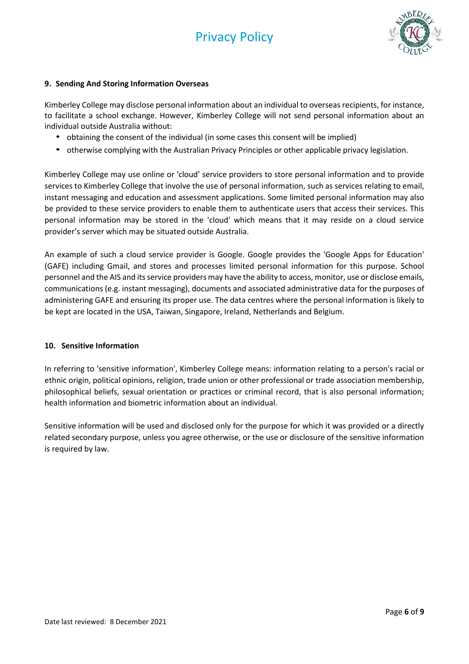

# **9. Sending And Storing Information Overseas**

Kimberley College may disclose personal information about an individual to overseas recipients, for instance, to facilitate a school exchange. However, Kimberley College will not send personal information about an individual outside Australia without:

- obtaining the consent of the individual (in some cases this consent will be implied)
- otherwise complying with the Australian Privacy Principles or other applicable privacy legislation.

Kimberley College may use online or 'cloud' service providers to store personal information and to provide services to Kimberley College that involve the use of personal information, such as services relating to email, instant messaging and education and assessment applications. Some limited personal information may also be provided to these service providers to enable them to authenticate users that access their services. This personal information may be stored in the 'cloud' which means that it may reside on a cloud service provider's server which may be situated outside Australia.

An example of such a cloud service provider is Google. Google provides the 'Google Apps for Education' (GAFE) including Gmail, and stores and processes limited personal information for this purpose. School personnel and the AIS and its service providers may have the ability to access, monitor, use or disclose emails, communications (e.g. instant messaging), documents and associated administrative data for the purposes of administering GAFE and ensuring its proper use. The data centres where the personal information is likely to be kept are located in the USA, Taiwan, Singapore, Ireland, Netherlands and Belgium.

## **10. Sensitive Information**

In referring to 'sensitive information', Kimberley College means: information relating to a person's racial or ethnic origin, political opinions, religion, trade union or other professional or trade association membership, philosophical beliefs, sexual orientation or practices or criminal record, that is also personal information; health information and biometric information about an individual.

Sensitive information will be used and disclosed only for the purpose for which it was provided or a directly related secondary purpose, unless you agree otherwise, or the use or disclosure of the sensitive information is required by law.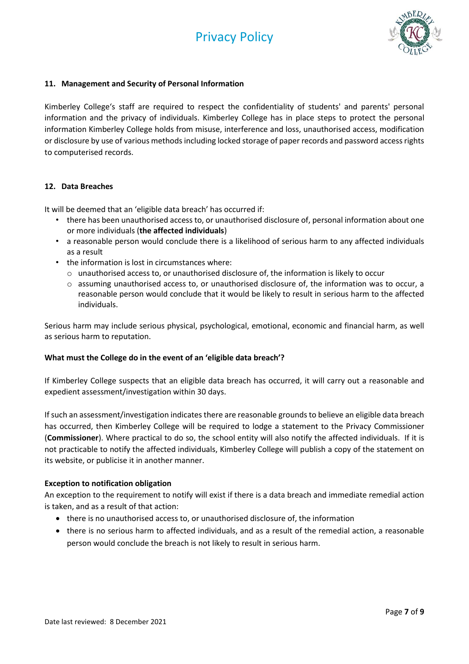

## **11. Management and Security of Personal Information**

Kimberley College's staff are required to respect the confidentiality of students' and parents' personal information and the privacy of individuals. Kimberley College has in place steps to protect the personal information Kimberley College holds from misuse, interference and loss, unauthorised access, modification or disclosure by use of various methods including locked storage of paper records and password access rights to computerised records.

# **12. Data Breaches**

It will be deemed that an 'eligible data breach' has occurred if:

- there has been unauthorised access to, or unauthorised disclosure of, personal information about one or more individuals (**the affected individuals**)
- a reasonable person would conclude there is a likelihood of serious harm to any affected individuals as a result
- the information is lost in circumstances where:
	- $\circ$  unauthorised access to, or unauthorised disclosure of, the information is likely to occur
	- o assuming unauthorised access to, or unauthorised disclosure of, the information was to occur, a reasonable person would conclude that it would be likely to result in serious harm to the affected individuals.

Serious harm may include serious physical, psychological, emotional, economic and financial harm, as well as serious harm to reputation.

## **What must the College do in the event of an 'eligible data breach'?**

If Kimberley College suspects that an eligible data breach has occurred, it will carry out a reasonable and expedient assessment/investigation within 30 days.

If such an assessment/investigation indicates there are reasonable grounds to believe an eligible data breach has occurred, then Kimberley College will be required to lodge a statement to the Privacy Commissioner (**Commissioner**). Where practical to do so, the school entity will also notify the affected individuals. If it is not practicable to notify the affected individuals, Kimberley College will publish a copy of the statement on its website, or publicise it in another manner.

## **Exception to notification obligation**

An exception to the requirement to notify will exist if there is a data breach and immediate remedial action is taken, and as a result of that action:

- there is no unauthorised access to, or unauthorised disclosure of, the information
- there is no serious harm to affected individuals, and as a result of the remedial action, a reasonable person would conclude the breach is not likely to result in serious harm.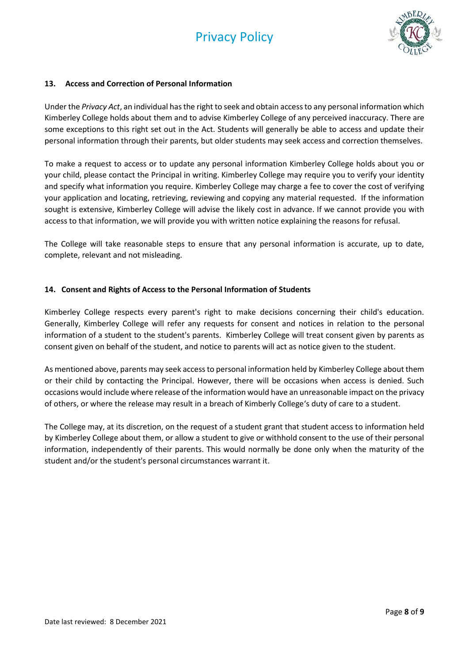

## **13. Access and Correction of Personal Information**

Under the *Privacy Act*, an individual has the right to seek and obtain access to any personal information which Kimberley College holds about them and to advise Kimberley College of any perceived inaccuracy. There are some exceptions to this right set out in the Act. Students will generally be able to access and update their personal information through their parents, but older students may seek access and correction themselves.

To make a request to access or to update any personal information Kimberley College holds about you or your child, please contact the Principal in writing. Kimberley College may require you to verify your identity and specify what information you require. Kimberley College may charge a fee to cover the cost of verifying your application and locating, retrieving, reviewing and copying any material requested. If the information sought is extensive, Kimberley College will advise the likely cost in advance. If we cannot provide you with access to that information, we will provide you with written notice explaining the reasons for refusal.

The College will take reasonable steps to ensure that any personal information is accurate, up to date, complete, relevant and not misleading.

## **14. Consent and Rights of Access to the Personal Information of Students**

Kimberley College respects every parent's right to make decisions concerning their child's education. Generally, Kimberley College will refer any requests for consent and notices in relation to the personal information of a student to the student's parents. Kimberley College will treat consent given by parents as consent given on behalf of the student, and notice to parents will act as notice given to the student.

As mentioned above, parents may seek access to personal information held by Kimberley College about them or their child by contacting the Principal. However, there will be occasions when access is denied. Such occasions would include where release of the information would have an unreasonable impact on the privacy of others, or where the release may result in a breach of Kimberly College's duty of care to a student.

The College may, at its discretion, on the request of a student grant that student access to information held by Kimberley College about them, or allow a student to give or withhold consent to the use of their personal information, independently of their parents. This would normally be done only when the maturity of the student and/or the student's personal circumstances warrant it.